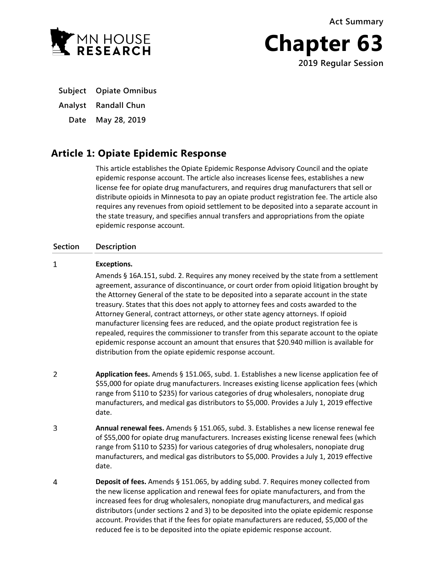**Act Summary**



**Chapter 63 2019 Regular Session**

**Subject Opiate Omnibus**

**Analyst Randall Chun**

**Date May 28, 2019**

## **Article 1: Opiate Epidemic Response**

This article establishes the Opiate Epidemic Response Advisory Council and the opiate epidemic response account. The article also increases license fees, establishes a new license fee for opiate drug manufacturers, and requires drug manufacturers that sell or distribute opioids in Minnesota to pay an opiate product registration fee. The article also requires any revenues from opioid settlement to be deposited into a separate account in the state treasury, and specifies annual transfers and appropriations from the opiate epidemic response account.

### **Section Description**

#### $\mathbf{1}$ **Exceptions.**

Amends § 16A.151, subd. 2. Requires any money received by the state from a settlement agreement, assurance of discontinuance, or court order from opioid litigation brought by the Attorney General of the state to be deposited into a separate account in the state treasury. States that this does not apply to attorney fees and costs awarded to the Attorney General, contract attorneys, or other state agency attorneys. If opioid manufacturer licensing fees are reduced, and the opiate product registration fee is repealed, requires the commissioner to transfer from this separate account to the opiate epidemic response account an amount that ensures that \$20.940 million is available for distribution from the opiate epidemic response account.

- $\overline{2}$ **Application fees.** Amends § 151.065, subd. 1. Establishes a new license application fee of \$55,000 for opiate drug manufacturers. Increases existing license application fees (which range from \$110 to \$235) for various categories of drug wholesalers, nonopiate drug manufacturers, and medical gas distributors to \$5,000. Provides a July 1, 2019 effective date.
- $\mathbf{3}$ **Annual renewal fees.** Amends § 151.065, subd. 3. Establishes a new license renewal fee of \$55,000 for opiate drug manufacturers. Increases existing license renewal fees (which range from \$110 to \$235) for various categories of drug wholesalers, nonopiate drug manufacturers, and medical gas distributors to \$5,000. Provides a July 1, 2019 effective date.
- $\overline{4}$ **Deposit of fees.** Amends § 151.065, by adding subd. 7. Requires money collected from the new license application and renewal fees for opiate manufacturers, and from the increased fees for drug wholesalers, nonopiate drug manufacturers, and medical gas distributors (under sections 2 and 3) to be deposited into the opiate epidemic response account. Provides that if the fees for opiate manufacturers are reduced, \$5,000 of the reduced fee is to be deposited into the opiate epidemic response account.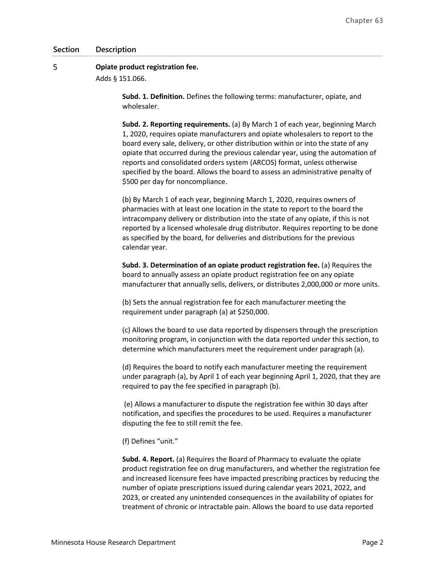### 5 **Opiate product registration fee.**

Adds § 151.066.

**Subd. 1. Definition.** Defines the following terms: manufacturer, opiate, and wholesaler.

**Subd. 2. Reporting requirements.** (a) By March 1 of each year, beginning March 1, 2020, requires opiate manufacturers and opiate wholesalers to report to the board every sale, delivery, or other distribution within or into the state of any opiate that occurred during the previous calendar year, using the automation of reports and consolidated orders system (ARCOS) format, unless otherwise specified by the board. Allows the board to assess an administrative penalty of \$500 per day for noncompliance.

(b) By March 1 of each year, beginning March 1, 2020, requires owners of pharmacies with at least one location in the state to report to the board the intracompany delivery or distribution into the state of any opiate, if this is not reported by a licensed wholesale drug distributor. Requires reporting to be done as specified by the board, for deliveries and distributions for the previous calendar year.

**Subd. 3. Determination of an opiate product registration fee.** (a) Requires the board to annually assess an opiate product registration fee on any opiate manufacturer that annually sells, delivers, or distributes 2,000,000 or more units.

(b) Sets the annual registration fee for each manufacturer meeting the requirement under paragraph (a) at \$250,000.

(c) Allows the board to use data reported by dispensers through the prescription monitoring program, in conjunction with the data reported under this section, to determine which manufacturers meet the requirement under paragraph (a).

(d) Requires the board to notify each manufacturer meeting the requirement under paragraph (a), by April 1 of each year beginning April 1, 2020, that they are required to pay the fee specified in paragraph (b).

(e) Allows a manufacturer to dispute the registration fee within 30 days after notification, and specifies the procedures to be used. Requires a manufacturer disputing the fee to still remit the fee.

(f) Defines "unit."

**Subd. 4. Report.** (a) Requires the Board of Pharmacy to evaluate the opiate product registration fee on drug manufacturers, and whether the registration fee and increased licensure fees have impacted prescribing practices by reducing the number of opiate prescriptions issued during calendar years 2021, 2022, and 2023, or created any unintended consequences in the availability of opiates for treatment of chronic or intractable pain. Allows the board to use data reported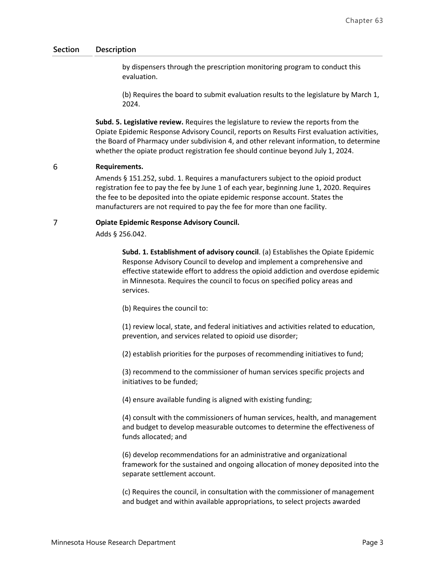by dispensers through the prescription monitoring program to conduct this evaluation.

(b) Requires the board to submit evaluation results to the legislature by March 1, 2024.

**Subd. 5. Legislative review.** Requires the legislature to review the reports from the Opiate Epidemic Response Advisory Council, reports on Results First evaluation activities, the Board of Pharmacy under subdivision 4, and other relevant information, to determine whether the opiate product registration fee should continue beyond July 1, 2024.

#### 6 **Requirements.**

Amends § 151.252, subd. 1. Requires a manufacturers subject to the opioid product registration fee to pay the fee by June 1 of each year, beginning June 1, 2020. Requires the fee to be deposited into the opiate epidemic response account. States the manufacturers are not required to pay the fee for more than one facility.

#### $\overline{7}$ **Opiate Epidemic Response Advisory Council.**

Adds § 256.042.

**Subd. 1. Establishment of advisory council**. (a) Establishes the Opiate Epidemic Response Advisory Council to develop and implement a comprehensive and effective statewide effort to address the opioid addiction and overdose epidemic in Minnesota. Requires the council to focus on specified policy areas and services.

(b) Requires the council to:

(1) review local, state, and federal initiatives and activities related to education, prevention, and services related to opioid use disorder;

(2) establish priorities for the purposes of recommending initiatives to fund;

(3) recommend to the commissioner of human services specific projects and initiatives to be funded;

(4) ensure available funding is aligned with existing funding;

(4) consult with the commissioners of human services, health, and management and budget to develop measurable outcomes to determine the effectiveness of funds allocated; and

(6) develop recommendations for an administrative and organizational framework for the sustained and ongoing allocation of money deposited into the separate settlement account.

(c) Requires the council, in consultation with the commissioner of management and budget and within available appropriations, to select projects awarded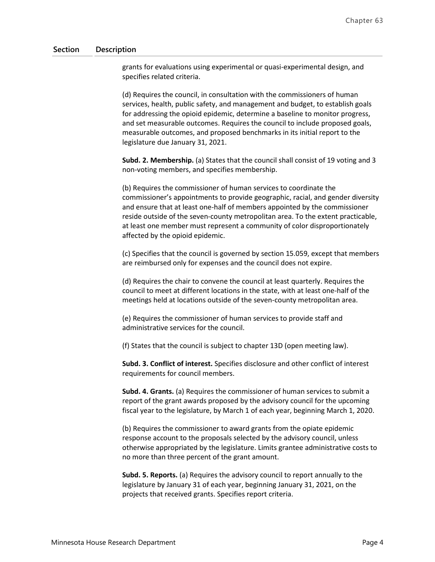grants for evaluations using experimental or quasi-experimental design, and specifies related criteria.

(d) Requires the council, in consultation with the commissioners of human services, health, public safety, and management and budget, to establish goals for addressing the opioid epidemic, determine a baseline to monitor progress, and set measurable outcomes. Requires the council to include proposed goals, measurable outcomes, and proposed benchmarks in its initial report to the legislature due January 31, 2021.

**Subd. 2. Membership.** (a) States that the council shall consist of 19 voting and 3 non-voting members, and specifies membership.

(b) Requires the commissioner of human services to coordinate the commissioner's appointments to provide geographic, racial, and gender diversity and ensure that at least one-half of members appointed by the commissioner reside outside of the seven-county metropolitan area. To the extent practicable, at least one member must represent a community of color disproportionately affected by the opioid epidemic.

(c) Specifies that the council is governed by section 15.059, except that members are reimbursed only for expenses and the council does not expire.

(d) Requires the chair to convene the council at least quarterly. Requires the council to meet at different locations in the state, with at least one-half of the meetings held at locations outside of the seven-county metropolitan area.

(e) Requires the commissioner of human services to provide staff and administrative services for the council.

(f) States that the council is subject to chapter 13D (open meeting law).

**Subd. 3. Conflict of interest.** Specifies disclosure and other conflict of interest requirements for council members.

**Subd. 4. Grants.** (a) Requires the commissioner of human services to submit a report of the grant awards proposed by the advisory council for the upcoming fiscal year to the legislature, by March 1 of each year, beginning March 1, 2020.

(b) Requires the commissioner to award grants from the opiate epidemic response account to the proposals selected by the advisory council, unless otherwise appropriated by the legislature. Limits grantee administrative costs to no more than three percent of the grant amount.

**Subd. 5. Reports.** (a) Requires the advisory council to report annually to the legislature by January 31 of each year, beginning January 31, 2021, on the projects that received grants. Specifies report criteria.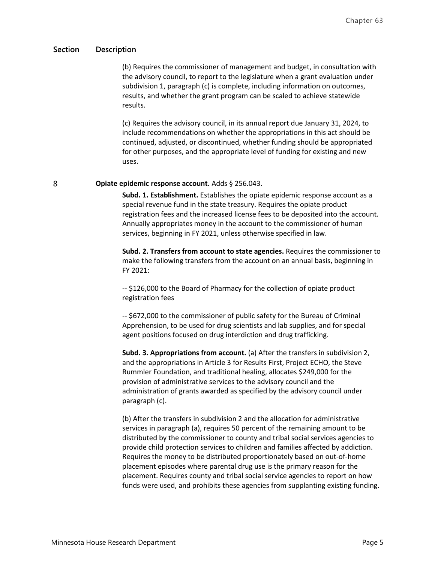(b) Requires the commissioner of management and budget, in consultation with the advisory council, to report to the legislature when a grant evaluation under subdivision 1, paragraph (c) is complete, including information on outcomes, results, and whether the grant program can be scaled to achieve statewide results.

(c) Requires the advisory council, in its annual report due January 31, 2024, to include recommendations on whether the appropriations in this act should be continued, adjusted, or discontinued, whether funding should be appropriated for other purposes, and the appropriate level of funding for existing and new uses.

8

### **Opiate epidemic response account.** Adds § 256.043.

**Subd. 1. Establishment.** Establishes the opiate epidemic response account as a special revenue fund in the state treasury. Requires the opiate product registration fees and the increased license fees to be deposited into the account. Annually appropriates money in the account to the commissioner of human services, beginning in FY 2021, unless otherwise specified in law.

**Subd. 2. Transfers from account to state agencies.** Requires the commissioner to make the following transfers from the account on an annual basis, beginning in FY 2021:

-- \$126,000 to the Board of Pharmacy for the collection of opiate product registration fees

-- \$672,000 to the commissioner of public safety for the Bureau of Criminal Apprehension, to be used for drug scientists and lab supplies, and for special agent positions focused on drug interdiction and drug trafficking.

**Subd. 3. Appropriations from account.** (a) After the transfers in subdivision 2, and the appropriations in Article 3 for Results First, Project ECHO, the Steve Rummler Foundation, and traditional healing, allocates \$249,000 for the provision of administrative services to the advisory council and the administration of grants awarded as specified by the advisory council under paragraph (c).

(b) After the transfers in subdivision 2 and the allocation for administrative services in paragraph (a), requires 50 percent of the remaining amount to be distributed by the commissioner to county and tribal social services agencies to provide child protection services to children and families affected by addiction. Requires the money to be distributed proportionately based on out-of-home placement episodes where parental drug use is the primary reason for the placement. Requires county and tribal social service agencies to report on how funds were used, and prohibits these agencies from supplanting existing funding.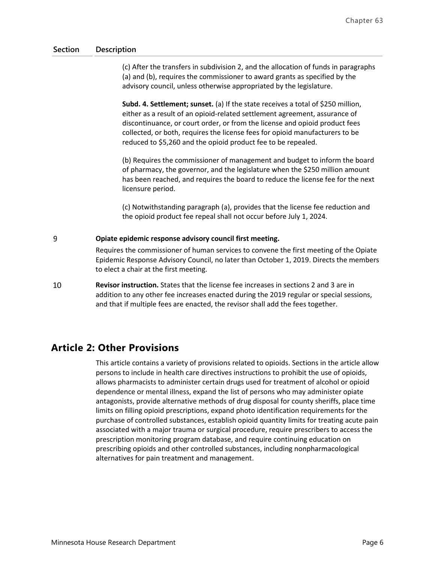(c) After the transfers in subdivision 2, and the allocation of funds in paragraphs (a) and (b), requires the commissioner to award grants as specified by the advisory council, unless otherwise appropriated by the legislature.

**Subd. 4. Settlement; sunset.** (a) If the state receives a total of \$250 million, either as a result of an opioid-related settlement agreement, assurance of discontinuance, or court order, or from the license and opioid product fees collected, or both, requires the license fees for opioid manufacturers to be reduced to \$5,260 and the opioid product fee to be repealed.

(b) Requires the commissioner of management and budget to inform the board of pharmacy, the governor, and the legislature when the \$250 million amount has been reached, and requires the board to reduce the license fee for the next licensure period.

(c) Notwithstanding paragraph (a), provides that the license fee reduction and the opioid product fee repeal shall not occur before July 1, 2024.

#### 9 **Opiate epidemic response advisory council first meeting.**

Requires the commissioner of human services to convene the first meeting of the Opiate Epidemic Response Advisory Council, no later than October 1, 2019. Directs the members to elect a chair at the first meeting.

10 **Revisor instruction.** States that the license fee increases in sections 2 and 3 are in addition to any other fee increases enacted during the 2019 regular or special sessions, and that if multiple fees are enacted, the revisor shall add the fees together.

## **Article 2: Other Provisions**

This article contains a variety of provisions related to opioids. Sections in the article allow persons to include in health care directives instructions to prohibit the use of opioids, allows pharmacists to administer certain drugs used for treatment of alcohol or opioid dependence or mental illness, expand the list of persons who may administer opiate antagonists, provide alternative methods of drug disposal for county sheriffs, place time limits on filling opioid prescriptions, expand photo identification requirements for the purchase of controlled substances, establish opioid quantity limits for treating acute pain associated with a major trauma or surgical procedure, require prescribers to access the prescription monitoring program database, and require continuing education on prescribing opioids and other controlled substances, including nonpharmacological alternatives for pain treatment and management.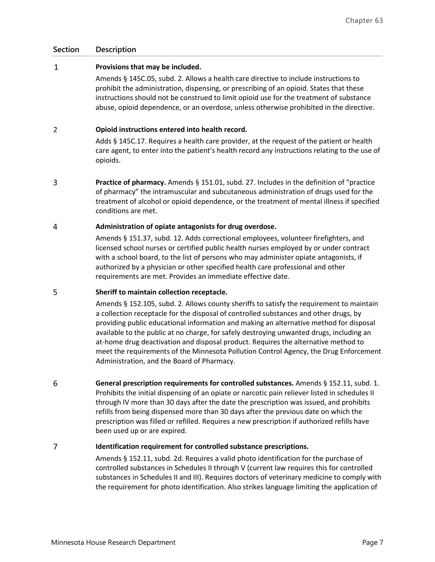#### $\mathbf 1$ **Provisions that may be included.**

Amends § 145C.05, subd. 2. Allows a health care directive to include instructions to prohibit the administration, dispensing, or prescribing of an opioid. States that these instructions should not be construed to limit opioid use for the treatment of substance abuse, opioid dependence, or an overdose, unless otherwise prohibited in the directive.

#### $\overline{2}$ **Opioid instructions entered into health record.**

Adds § 145C.17. Requires a health care provider, at the request of the patient or health care agent, to enter into the patient's health record any instructions relating to the use of opioids.

3 **Practice of pharmacy.** Amends § 151.01, subd. 27. Includes in the definition of "practice of pharmacy" the intramuscular and subcutaneous administration of drugs used for the treatment of alcohol or opioid dependence, or the treatment of mental illness if specified conditions are met.

#### $\overline{4}$ **Administration of opiate antagonists for drug overdose.**

Amends § 151.37, subd. 12. Adds correctional employees, volunteer firefighters, and licensed school nurses or certified public health nurses employed by or under contract with a school board, to the list of persons who may administer opiate antagonists, if authorized by a physician or other specified health care professional and other requirements are met. Provides an immediate effective date.

#### 5 **Sheriff to maintain collection receptacle.**

Amends § 152.105, subd. 2. Allows county sheriffs to satisfy the requirement to maintain a collection receptacle for the disposal of controlled substances and other drugs, by providing public educational information and making an alternative method for disposal available to the public at no charge, for safely destroying unwanted drugs, including an at-home drug deactivation and disposal product. Requires the alternative method to meet the requirements of the Minnesota Pollution Control Agency, the Drug Enforcement Administration, and the Board of Pharmacy.

6 **General prescription requirements for controlled substances.** Amends § 152.11, subd. 1. Prohibits the initial dispensing of an opiate or narcotic pain reliever listed in schedules II through IV more than 30 days after the date the prescription was issued, and prohibits refills from being dispensed more than 30 days after the previous date on which the prescription was filled or refilled. Requires a new prescription if authorized refills have been used up or are expired.

### $\overline{7}$ **Identification requirement for controlled substance prescriptions.**

Amends § 152.11, subd. 2d. Requires a valid photo identification for the purchase of controlled substances in Schedules II through V (current law requires this for controlled substances in Schedules II and III). Requires doctors of veterinary medicine to comply with the requirement for photo identification. Also strikes language limiting the application of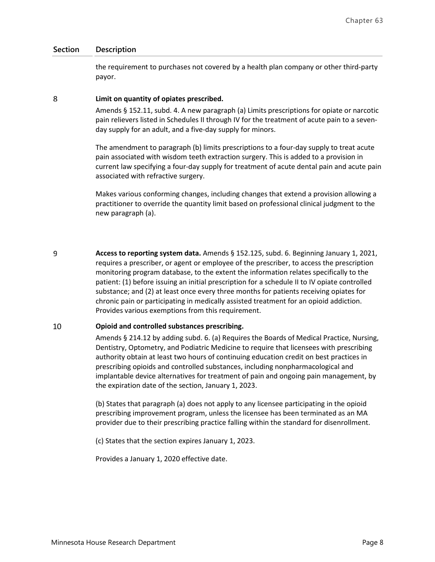the requirement to purchases not covered by a health plan company or other third-party payor.

#### 8 **Limit on quantity of opiates prescribed.**

Amends § 152.11, subd. 4. A new paragraph (a) Limits prescriptions for opiate or narcotic pain relievers listed in Schedules II through IV for the treatment of acute pain to a sevenday supply for an adult, and a five-day supply for minors.

The amendment to paragraph (b) limits prescriptions to a four-day supply to treat acute pain associated with wisdom teeth extraction surgery. This is added to a provision in current law specifying a four-day supply for treatment of acute dental pain and acute pain associated with refractive surgery.

Makes various conforming changes, including changes that extend a provision allowing a practitioner to override the quantity limit based on professional clinical judgment to the new paragraph (a).

9 **Access to reporting system data.** Amends § 152.125, subd. 6. Beginning January 1, 2021, requires a prescriber, or agent or employee of the prescriber, to access the prescription monitoring program database, to the extent the information relates specifically to the patient: (1) before issuing an initial prescription for a schedule II to IV opiate controlled substance; and (2) at least once every three months for patients receiving opiates for chronic pain or participating in medically assisted treatment for an opioid addiction. Provides various exemptions from this requirement.

#### 10 **Opioid and controlled substances prescribing.**

Amends § 214.12 by adding subd. 6. (a) Requires the Boards of Medical Practice, Nursing, Dentistry, Optometry, and Podiatric Medicine to require that licensees with prescribing authority obtain at least two hours of continuing education credit on best practices in prescribing opioids and controlled substances, including nonpharmacological and implantable device alternatives for treatment of pain and ongoing pain management, by the expiration date of the section, January 1, 2023.

(b) States that paragraph (a) does not apply to any licensee participating in the opioid prescribing improvement program, unless the licensee has been terminated as an MA provider due to their prescribing practice falling within the standard for disenrollment.

(c) States that the section expires January 1, 2023.

Provides a January 1, 2020 effective date.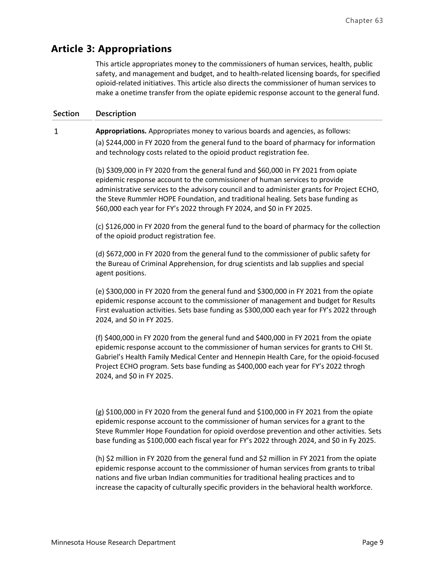# **Article 3: Appropriations**

This article appropriates money to the commissioners of human services, health, public safety, and management and budget, and to health-related licensing boards, for specified opioid-related initiatives. This article also directs the commissioner of human services to make a onetime transfer from the opiate epidemic response account to the general fund.

### **Section Description**

 $\mathbf{1}$ **Appropriations.** Appropriates money to various boards and agencies, as follows: (a) \$244,000 in FY 2020 from the general fund to the board of pharmacy for information and technology costs related to the opioid product registration fee.

> (b) \$309,000 in FY 2020 from the general fund and \$60,000 in FY 2021 from opiate epidemic response account to the commissioner of human services to provide administrative services to the advisory council and to administer grants for Project ECHO, the Steve Rummler HOPE Foundation, and traditional healing. Sets base funding as \$60,000 each year for FY's 2022 through FY 2024, and \$0 in FY 2025.

> (c) \$126,000 in FY 2020 from the general fund to the board of pharmacy for the collection of the opioid product registration fee.

(d) \$672,000 in FY 2020 from the general fund to the commissioner of public safety for the Bureau of Criminal Apprehension, for drug scientists and lab supplies and special agent positions.

(e) \$300,000 in FY 2020 from the general fund and \$300,000 in FY 2021 from the opiate epidemic response account to the commissioner of management and budget for Results First evaluation activities. Sets base funding as \$300,000 each year for FY's 2022 through 2024, and \$0 in FY 2025.

(f) \$400,000 in FY 2020 from the general fund and \$400,000 in FY 2021 from the opiate epidemic response account to the commissioner of human services for grants to CHI St. Gabriel's Health Family Medical Center and Hennepin Health Care, for the opioid-focused Project ECHO program. Sets base funding as \$400,000 each year for FY's 2022 throgh 2024, and \$0 in FY 2025.

(g) \$100,000 in FY 2020 from the general fund and \$100,000 in FY 2021 from the opiate epidemic response account to the commissioner of human services for a grant to the Steve Rummler Hope Foundation for opioid overdose prevention and other activities. Sets base funding as \$100,000 each fiscal year for FY's 2022 through 2024, and \$0 in Fy 2025.

(h) \$2 million in FY 2020 from the general fund and \$2 million in FY 2021 from the opiate epidemic response account to the commissioner of human services from grants to tribal nations and five urban Indian communities for traditional healing practices and to increase the capacity of culturally specific providers in the behavioral health workforce.